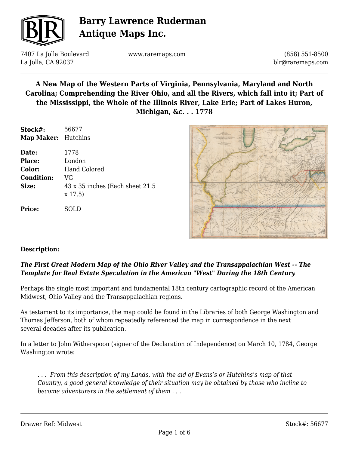

7407 La Jolla Boulevard La Jolla, CA 92037

www.raremaps.com

(858) 551-8500 blr@raremaps.com

### **A New Map of the Western Parts of Virginia, Pennsylvania, Maryland and North Carolina; Comprehending the River Ohio, and all the Rivers, which fall into it; Part of the Mississippi, the Whole of the Illinois River, Lake Erie; Part of Lakes Huron, Michigan, &c. . . 1778**

| Stock#:                    | 56677                                         |
|----------------------------|-----------------------------------------------|
| <b>Map Maker:</b> Hutchins |                                               |
| Date:                      | 1778                                          |
| <b>Place:</b>              | London                                        |
| Color:                     | Hand Colored                                  |
| <b>Condition:</b>          | VG                                            |
| Size:                      | 43 x 35 inches (Each sheet 21.5)<br>$x\,17.5$ |
| <b>Price:</b>              |                                               |



#### **Description:**

### *The First Great Modern Map of the Ohio River Valley and the Transappalachian West -- The Template for Real Estate Speculation in the American "West" During the 18th Century*

Perhaps the single most important and fundamental 18th century cartographic record of the American Midwest, Ohio Valley and the Transappalachian regions.

As testament to its importance, the map could be found in the Libraries of both George Washington and Thomas Jefferson, both of whom repeatedly referenced the map in correspondence in the next several decades after its publication.

In a letter to John Witherspoon (signer of the Declaration of Independence) on March 10, 1784, George Washington wrote:

*. . . From this description of my Lands, with the aid of Evans's or Hutchins's map of that Country, a good general knowledge of their situation may be obtained by those who incline to become adventurers in the settlement of them . . .*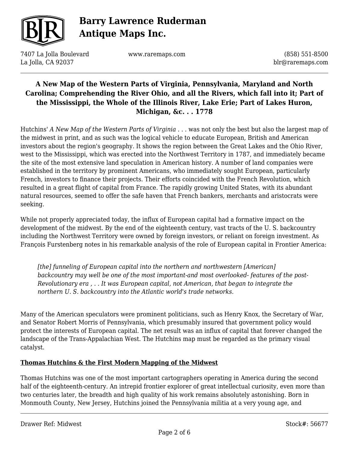

7407 La Jolla Boulevard La Jolla, CA 92037

www.raremaps.com

(858) 551-8500 blr@raremaps.com

### **A New Map of the Western Parts of Virginia, Pennsylvania, Maryland and North Carolina; Comprehending the River Ohio, and all the Rivers, which fall into it; Part of the Mississippi, the Whole of the Illinois River, Lake Erie; Part of Lakes Huron, Michigan, &c. . . 1778**

Hutchins' *A New Map of the Western Parts of Virginia* . . . was not only the best but also the largest map of the midwest in print, and as such was the logical vehicle to educate European, British and American investors about the region's geography. It shows the region between the Great Lakes and the Ohio River, west to the Mississippi, which was erected into the Northwest Territory in 1787, and immediately became the site of the most extensive land speculation in American history. A number of land companies were established in the territory by prominent Americans, who immediately sought European, particularly French, investors to finance their projects. Their efforts coincided with the French Revolution, which resulted in a great flight of capital from France. The rapidly growing United States, with its abundant natural resources, seemed to offer the safe haven that French bankers, merchants and aristocrats were seeking.

While not properly appreciated today, the influx of European capital had a formative impact on the development of the midwest. By the end of the eighteenth century, vast tracts of the U. S. backcountry including the Northwest Territory were owned by foreign investors, or reliant on foreign investment. As François Furstenberg notes in his remarkable analysis of the role of European capital in Frontier America:

*[the] funneling of European capital into the northern and northwestern [American] backcountry may well be one of the most important-and most overlooked- features of the post-Revolutionary era , . . It was European capital, not American, that began to integrate the northern U. S. backcountry into the Atlantic world's trade networks.*

Many of the American speculators were prominent politicians, such as Henry Knox, the Secretary of War, and Senator Robert Morris of Pennsylvania, which presumably insured that government policy would protect the interests of European capital. The net result was an influx of capital that forever changed the landscape of the Trans-Appalachian West. The Hutchins map must be regarded as the primary visual catalyst.

#### **Thomas Hutchins & the First Modern Mapping of the Midwest**

Thomas Hutchins was one of the most important cartographers operating in America during the second half of the eighteenth-century. An intrepid frontier explorer of great intellectual curiosity, even more than two centuries later, the breadth and high quality of his work remains absolutely astonishing. Born in Monmouth County, New Jersey, Hutchins joined the Pennsylvania militia at a very young age, and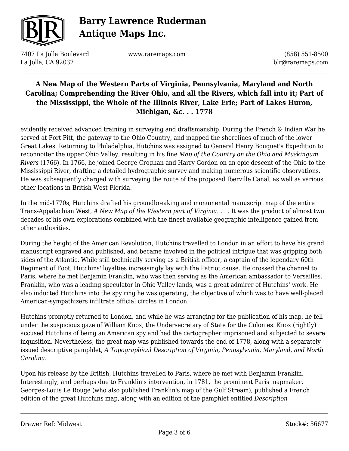

7407 La Jolla Boulevard La Jolla, CA 92037

www.raremaps.com

(858) 551-8500 blr@raremaps.com

## **A New Map of the Western Parts of Virginia, Pennsylvania, Maryland and North Carolina; Comprehending the River Ohio, and all the Rivers, which fall into it; Part of the Mississippi, the Whole of the Illinois River, Lake Erie; Part of Lakes Huron, Michigan, &c. . . 1778**

evidently received advanced training in surveying and draftsmanship. During the French & Indian War he served at Fort Pitt, the gateway to the Ohio Country, and mapped the shorelines of much of the lower Great Lakes. Returning to Philadelphia, Hutchins was assigned to General Henry Bouquet's Expedition to reconnoiter the upper Ohio Valley, resulting in his fine *Map of the Country on the Ohio and Muskingum Rivers* (1766). In 1766, he joined George Croghan and Harry Gordon on an epic descent of the Ohio to the Mississippi River, drafting a detailed hydrographic survey and making numerous scientific observations. He was subsequently charged with surveying the route of the proposed Iberville Canal, as well as various other locations in British West Florida.

In the mid-1770s, Hutchins drafted his groundbreaking and monumental manuscript map of the entire Trans-Appalachian West, *A New Map of the Western part of Virginia*. . . . It was the product of almost two decades of his own explorations combined with the finest available geographic intelligence gained from other authorities.

During the height of the American Revolution, Hutchins travelled to London in an effort to have his grand manuscript engraved and published, and became involved in the political intrigue that was gripping both sides of the Atlantic. While still technically serving as a British officer, a captain of the legendary 60th Regiment of Foot, Hutchins' loyalties increasingly lay with the Patriot cause. He crossed the channel to Paris, where he met Benjamin Franklin, who was then serving as the American ambassador to Versailles. Franklin, who was a leading speculator in Ohio Valley lands, was a great admirer of Hutchins' work. He also inducted Hutchins into the spy ring he was operating, the objective of which was to have well-placed American-sympathizers infiltrate official circles in London.

Hutchins promptly returned to London, and while he was arranging for the publication of his map, he fell under the suspicious gaze of William Knox, the Undersecretary of State for the Colonies. Knox (rightly) accused Hutchins of being an American spy and had the cartographer imprisoned and subjected to severe inquisition. Nevertheless, the great map was published towards the end of 1778, along with a separately issued descriptive pamphlet, *A Topographical Description of Virginia, Pennsylvania, Maryland, and North Carolina*.

Upon his release by the British, Hutchins travelled to Paris, where he met with Benjamin Franklin. Interestingly, and perhaps due to Franklin's intervention, in 1781, the prominent Paris mapmaker, Georges-Louis Le Rouge (who also published Franklin's map of the Gulf Stream), published a French edition of the great Hutchins map, along with an edition of the pamphlet entitled *Description*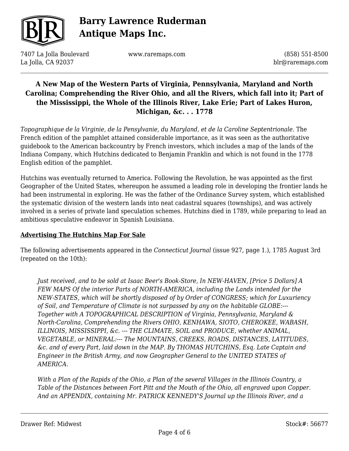

7407 La Jolla Boulevard La Jolla, CA 92037

www.raremaps.com

(858) 551-8500 blr@raremaps.com

### **A New Map of the Western Parts of Virginia, Pennsylvania, Maryland and North Carolina; Comprehending the River Ohio, and all the Rivers, which fall into it; Part of the Mississippi, the Whole of the Illinois River, Lake Erie; Part of Lakes Huron, Michigan, &c. . . 1778**

*Topographique de la Virginie, de la Pensylvanie, du Maryland, et de la Caroline Septentrionale*. The French edition of the pamphlet attained considerable importance, as it was seen as the authoritative guidebook to the American backcountry by French investors, which includes a map of the lands of the Indiana Company, which Hutchins dedicated to Benjamin Franklin and which is not found in the 1778 English edition of the pamphlet.

Hutchins was eventually returned to America. Following the Revolution, he was appointed as the first Geographer of the United States, whereupon he assumed a leading role in developing the frontier lands he had been instrumental in exploring. He was the father of the Ordinance Survey system, which established the systematic division of the western lands into neat cadastral squares (townships), and was actively involved in a series of private land speculation schemes. Hutchins died in 1789, while preparing to lead an ambitious speculative endeavor in Spanish Louisiana.

#### **Advertising The Hutchins Map For Sale**

The following advertisements appeared in the *Connecticut Journal* (issue 927, page 1.), 1785 August 3rd (repeated on the 10th):

*Just received, and to be sold at Isaac Beer's Book-Store, In NEW-HAVEN, [Price 5 Dollars] A FEW MAPS Of the interior Parts of NORTH-AMERICA, including the Lands intended for the NEW-STATES, which will be shortly disposed of by Order of CONGRESS; which for Luxuriency of Soil, and Temperature of Climate is not surpassed by any on the habitable GLOBE:--- Together with A TOPOGRAPHICAL DESCRIPTION of Virginia, Pennsylvania, Maryland & North-Carolina, Comprehending the Rivers OHIO, KENHAWA, SIOTO, CHEROKEE, WABASH, ILLINOIS, MISSISSIPPI, &c. --- THE CLIMATE, SOIL and PRODUCE, whether ANIMAL, VEGETABLE, or MINERAL:--- The MOUNTAINS, CREEKS, ROADS, DISTANCES, LATITUDES, &c. and of every Part, laid down in the MAP. By THOMAS HUTCHINS, Esq. Late Captain and Engineer in the British Army, and now Geographer General to the UNITED STATES of AMERICA.*

*With a Plan of the Rapids of the Ohio, a Plan of the several Villages in the Illinois Country, a Table of the Distances between Fort Pitt and the Mouth of the Ohio, all engraved upon Copper. And an APPENDIX, containing Mr. PATRICK KENNEDY'S Journal up the Illinois River, and a*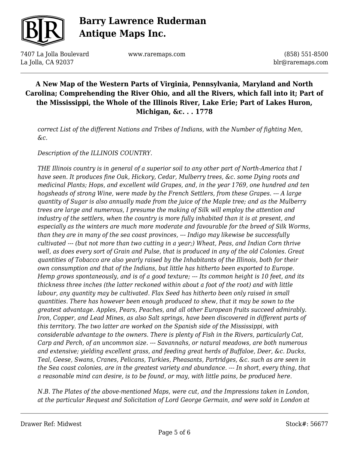

7407 La Jolla Boulevard La Jolla, CA 92037

www.raremaps.com

(858) 551-8500 blr@raremaps.com

## **A New Map of the Western Parts of Virginia, Pennsylvania, Maryland and North Carolina; Comprehending the River Ohio, and all the Rivers, which fall into it; Part of the Mississippi, the Whole of the Illinois River, Lake Erie; Part of Lakes Huron, Michigan, &c. . . 1778**

*correct List of the different Nations and Tribes of Indians, with the Number of fighting Men, &c.*

*Description of the ILLINOIS COUNTRY.*

*THE Illinois country is in general of a superior soil to any other part of North-America that I have seen. It produces fine Oak, Hickory, Cedar, Mulberry trees, &c. some Dying roots and medicinal Plants; Hops, and excellent wild Grapes, and, in the year 1769, one hundred and ten hogsheads of strong Wine, were made by the French Settlers, from these Grapes. --- A large quantity of Sugar is also annually made from the juice of the Maple tree; and as the Mulberry trees are large and numerous, I presume the making of Silk will employ the attention and industry of the settlers, when the country is more fully inhabited than it is at present, and especially as the winters are much more moderate and favourable for the breed of Silk Worms, than they are in many of the sea coast provinces, --- Indigo may likewise be successfully cultivated --- (but not more than two cutting in a year;) Wheat, Peas, and Indian Corn thrive well, as does every sort of Grain and Pulse, that is produced in any of the old Colonies. Great quantities of Tobacco are also yearly raised by the Inhabitants of the Illinois, both for their own consumption and that of the Indians, but little has hitherto been exported to Europe. Hemp grows spontaneously, and is of a good texture; --- Its common height is 10 feet, and its thickness three inches (the latter reckoned within about a foot of the root) and with little labour, any quantity may be cultivated. Flax Seed has hitherto been only raised in small quantities. There has however been enough produced to shew, that it may be sown to the greatest advantage. Apples, Pears, Peaches, and all other European fruits succeed admirably. Iron, Copper, and Lead Mines, as also Salt springs, have been discovered in different parts of this territory. The two latter are worked on the Spanish side of the Mississippi, with considerable advantage to the owners. There is plenty of Fish in the Rivers, particularly Cat, Carp and Perch, of an uncommon size. --- Savannahs, or natural meadows, are both numerous and extensive; yielding excellent grass, and feeding great herds of Buffaloe, Deer, &c. Ducks, Teal, Geese, Swans, Cranes, Pelicans, Turkies, Pheasants, Partridges, &c. such as are seen in the Sea coast colonies, are in the greatest variety and abundance. --- In short, every thing, that a reasonable mind can desire, is to be found, or may, with little pains, be produced here.*

*N.B. The Plates of the above-mentioned Maps, were cut, and the Impressions taken in London, at the particular Request and Solicitation of Lord George Germain, and were sold in London at*